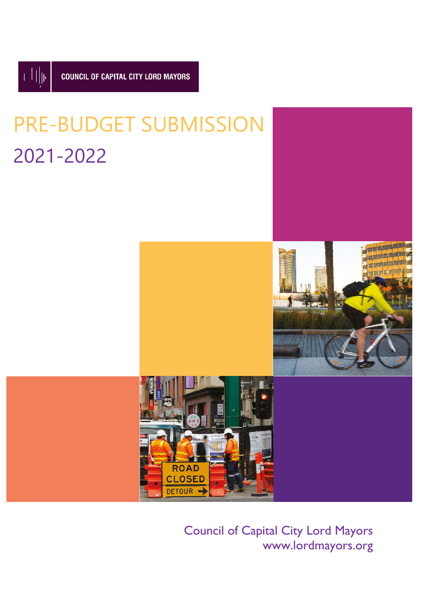

# PRE-BUDGET SUBMISSION 2021-2022



Council of Capital City Lord Mayors www.lordmayors.org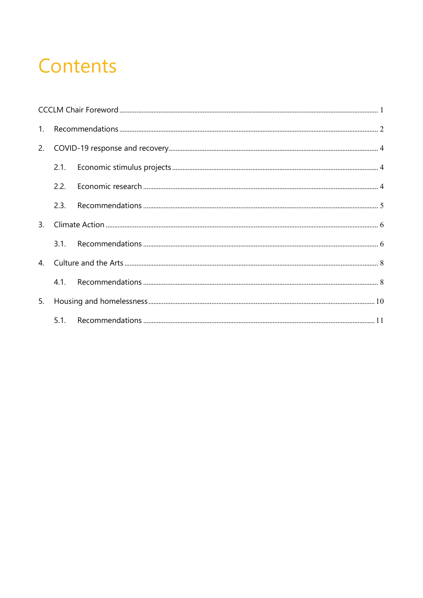### Contents

|    | 2.1. |  |  |
|----|------|--|--|
|    | 2.2. |  |  |
|    | 2.3. |  |  |
| 3. |      |  |  |
|    | 3.1. |  |  |
|    |      |  |  |
|    |      |  |  |
| 5. |      |  |  |
|    |      |  |  |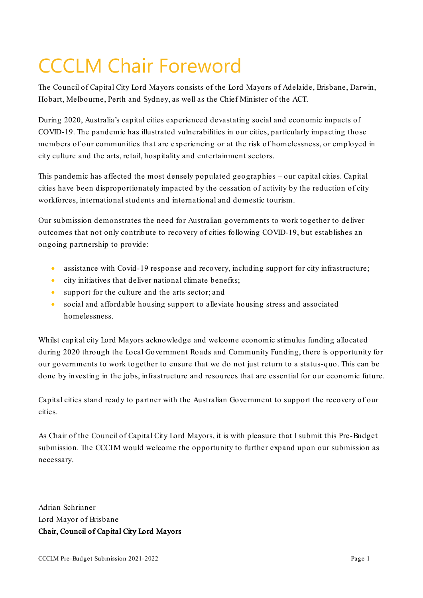# <span id="page-2-0"></span>CCCLM Chair Foreword

The Council of Capital City Lord Mayors consists of the Lord Mayors of Adelaide, Brisbane, Darwin, Hobart, Melbourne, Perth and Sydney, as well as the Chief Minister of the ACT.

During 2020, Australia's capital cities experienced devastating social and economic impacts of COVID-19. The pandemic has illustrated vulnerabilities in our cities, particularly impacting those members of our communities that are experiencing or at the risk of homelessness, or employed in city culture and the arts, retail, hospitality and entertainment sectors.

This pandemic has affected the most densely populated geographies – our capital cities. Capital cities have been disproportionately impacted by the cessation of activity by the reduction of city workforces, international students and international and domestic tourism.

Our submission demonstrates the need for Australian governments to work together to deliver outcomes that not only contribute to recovery of cities following COVID-19, but establishes an ongoing partnership to provide:

- assistance with Covid-19 response and recovery, including support for city infrastructure;
- city initiatives that deliver national climate benefits;
- support for the culture and the arts sector; and
- social and affordable housing support to alleviate housing stress and associated homelessness.

Whilst capital city Lord Mayors acknowledge and welcome economic stimulus funding allocated during 2020 through the Local Government Roads and Community Funding, there is opportunity for our governments to work together to ensure that we do not just return to a status-quo. This can be done by investing in the jobs, infrastructure and resources that are essential for our economic future.

Capital cities stand ready to partner with the Australian Government to support the recovery of our cities.

As Chair of the Council of Capital City Lord Mayors, it is with pleasure that I submit this Pre-Budget submission. The CCCLM would welcome the opportunity to further expand upon our submission as necessary.

Adrian Schrinner Lord Mayor of Brisbane Chair, Council of Capital City Lord Mayors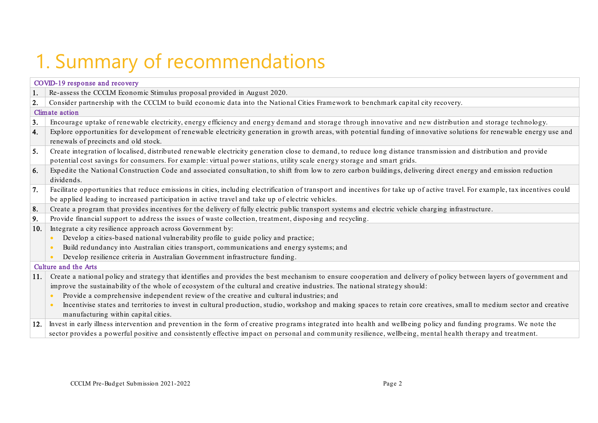# 1. Summary of recommendations

<span id="page-3-0"></span>

| COVID-19 response and recovery |                                                                                                                                                                                                                |  |  |  |  |
|--------------------------------|----------------------------------------------------------------------------------------------------------------------------------------------------------------------------------------------------------------|--|--|--|--|
| 1.                             | Re-assess the CCCLM Economic Stimulus proposal provided in August 2020.                                                                                                                                        |  |  |  |  |
| 2.                             | Consider partnership with the CCCLM to build economic data into the National Cities Framework to benchmark capital city recovery.                                                                              |  |  |  |  |
|                                | <b>Climate</b> action                                                                                                                                                                                          |  |  |  |  |
| 3.                             | Encourage uptake of renewable electricity, energy efficiency and energy demand and storage through innovative and new distribution and storage technology.                                                     |  |  |  |  |
| 4.                             | Explore opportunities for development of renewable electricity generation in growth areas, with potential funding of innovative solutions for renewable energy use and<br>renewals of precincts and old stock. |  |  |  |  |
| 5.                             | Create integration of localised, distributed renewable electricity generation close to demand, to reduce long distance transmission and distribution and provide                                               |  |  |  |  |
|                                | potential cost savings for consumers. For example: virtual power stations, utility scale energy storage and smart grids.                                                                                       |  |  |  |  |
| 6.                             | Expedite the National Construction Code and associated consultation, to shift from low to zero carbon buildings, delivering direct energy and emission reduction<br>dividends.                                 |  |  |  |  |
| 7.                             | Facilitate opportunities that reduce emissions in cities, including electrification of transport and incentives for take up of active travel. For example, tax incentives could                                |  |  |  |  |
|                                | be applied leading to increased participation in active travel and take up of electric vehicles.                                                                                                               |  |  |  |  |
| 8.                             | Create a program that provides incentives for the delivery of fully electric public transport systems and electric vehicle charging infrastructure.                                                            |  |  |  |  |
| 9.                             | Provide financial support to address the issues of waste collection, treatment, disposing and recycling.                                                                                                       |  |  |  |  |
| 10.                            | Integrate a city resilience approach across Government by:                                                                                                                                                     |  |  |  |  |
|                                | Develop a cities-based national vulnerability profile to guide policy and practice;<br>$\bullet$                                                                                                               |  |  |  |  |
|                                | Build redundancy into Australian cities transport, communications and energy systems; and<br>$\bullet$                                                                                                         |  |  |  |  |
|                                | Develop resilience criteria in Australian Government infrastructure funding.<br>$\bullet$                                                                                                                      |  |  |  |  |
|                                | Culture and the Arts                                                                                                                                                                                           |  |  |  |  |
| 11.                            | Create a national policy and strategy that identifies and provides the best mechanism to ensure cooperation and delivery of policy between layers of government and                                            |  |  |  |  |
|                                | improve the sustainability of the whole of ecosystem of the cultural and creative industries. The national strategy should:                                                                                    |  |  |  |  |
|                                | Provide a comprehensive independent review of the creative and cultural industries; and<br>$\bullet$                                                                                                           |  |  |  |  |
|                                | Incentivise states and territories to invest in cultural production, studio, workshop and making spaces to retain core creatives, small to medium sector and creative<br>$\bullet$                             |  |  |  |  |
|                                | manufacturing within capital cities.                                                                                                                                                                           |  |  |  |  |
| 12.                            | Invest in early illness intervention and prevention in the form of creative programs integrated into health and wellbeing policy and funding programs. We note the                                             |  |  |  |  |
|                                | sector provides a powerful positive and consistently effective impact on personal and community resilience, wellbeing, mental health therapy and treatment.                                                    |  |  |  |  |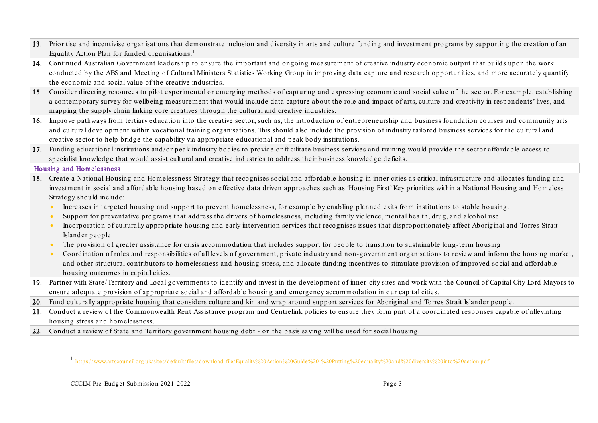<span id="page-4-0"></span>

| 13. | Prioritise and incentivise organisations that demonstrate inclusion and diversity in arts and culture funding and investment programs by supporting the creation of an          |  |  |
|-----|---------------------------------------------------------------------------------------------------------------------------------------------------------------------------------|--|--|
|     | Equality Action Plan for funded organisations. <sup>1</sup>                                                                                                                     |  |  |
| 14. | Continued Australian Government leadership to ensure the important and ongoing measurement of creative industry economic output that builds upon the work                       |  |  |
|     | conducted by the ABS and Meeting of Cultural Ministers Statistics Working Group in improving data capture and research opportunities, and more accurately quantify              |  |  |
|     | the economic and social value of the creative industries.                                                                                                                       |  |  |
| 15. | Consider directing resources to pilot experimental or emerging methods of capturing and expressing economic and social value of the sector. For example, establishing           |  |  |
|     | a contemporary survey for wellbeing measurement that would include data capture about the role and impact of arts, culture and creativity in respondents' lives, and            |  |  |
|     | mapping the supply chain linking core creatives through the cultural and creative industries.                                                                                   |  |  |
| 16. | Improve pathways from tertiary education into the creative sector, such as, the introduction of entrepreneurship and business foundation courses and community arts             |  |  |
|     | and cultural development within vocational training organisations. This should also include the provision of industry tailored business services for the cultural and           |  |  |
|     | creative sector to help bridge the capability via appropriate educational and peak body institutions.                                                                           |  |  |
| 17. | Funding educational institutions and/or peak industry bodies to provide or facilitate business services and training would provide the sector affordable access to              |  |  |
|     | specialist knowledge that would assist cultural and creative industries to address their business knowledge deficits.                                                           |  |  |
|     | <b>Housing and Homelessness</b>                                                                                                                                                 |  |  |
| 18. | Create a National Housing and Homelessness Strategy that recognises social and affordable housing in inner cities as critical infrastructure and allocates funding and          |  |  |
|     | investment in social and affordable housing based on effective data driven approaches such as 'Housing First' Key priorities within a National Housing and Homeless             |  |  |
|     | Strategy should include:                                                                                                                                                        |  |  |
|     | Increases in targeted housing and support to prevent homelessness, for example by enabling planned exits from institutions to stable housing.<br>$\bullet$                      |  |  |
|     | Support for preventative programs that address the drivers of homelessness, including family violence, mental health, drug, and alcohol use.<br>$\bullet$                       |  |  |
|     | Incorporation of culturally appropriate housing and early intervention services that recognises issues that disproportionately affect Aboriginal and Torres Strait<br>$\bullet$ |  |  |
|     | Islander people.                                                                                                                                                                |  |  |
|     | The provision of greater assistance for crisis accommodation that includes support for people to transition to sustainable long-term housing.<br>$\bullet$                      |  |  |
|     | Coordination of roles and responsibilities of all levels of government, private industry and non-government organisations to review and inform the housing market,<br>$\bullet$ |  |  |
|     | and other structural contributors to homelessness and housing stress, and allocate funding incentives to stimulate provision of improved social and affordable                  |  |  |
|     | housing outcomes in capital cities.                                                                                                                                             |  |  |
| 19. | Partner with State/Territory and Local governments to identify and invest in the development of inner-city sites and work with the Council of Capital City Lord Mayors to       |  |  |
|     | ensure adequate provision of appropriate social and affordable housing and emergency accommodation in our capital cities.                                                       |  |  |
| 20. | Fund culturally appropriate housing that considers culture and kin and wrap around support services for Aboriginal and Torres Strait Islander people.                           |  |  |
| 21. | Conduct a review of the Commonwealth Rent Assistance program and Centrelink policies to ensure they form part of a coordinated responses capable of alleviating                 |  |  |
|     | housing stress and homelessness.                                                                                                                                                |  |  |
| 22. | Conduct a review of State and Territory government housing debt - on the basis saving will be used for social housing.                                                          |  |  |

<sup>1</sup> <https://www.artscouncil.org.uk/sites/default/files/download-file/Equality%20Action%20Guide%20-%20Putting%20equality%20and%20diversity%20into%20action.pdf>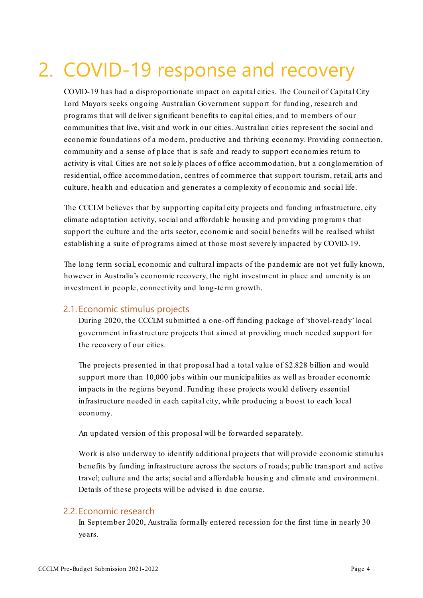### <span id="page-5-0"></span>2. COVID-19 response and recovery

COVID-19 has had a disproportionate impact on capital cities. The Council of Capital City Lord Mayors seeks ongoing Australian Government support for funding, research and programs that will deliver significant benefits to capital cities, and to members of our communities that live, visit and work in our cities. Australian cities represent the social and economic foundations of a modern, productive and thriving economy. Providing connection, community and a sense of place that is safe and ready to support economies return to activity is vital. Cities are not solely places of office accommodation, but a conglomeration of residential, office accommodation, centres of commerce that support tourism, retail, arts and culture, health and education and generates a complexity of economic and social life.

The CCCLM believes that by supporting capital city projects and funding infrastructure, city climate adaptation activity, social and affordable housing and providing programs that support the culture and the arts sector, economic and social benefits will be realised whilst establishing a suite of programs aimed at those most severely impacted by COVID-19.

The long term social, economic and cultural impacts of the pandemic are not yet fully known, however in Australia's economic recovery, the right investment in place and amenity is an investment in people, connectivity and long-term growth.

#### <span id="page-5-1"></span>2.1. Economic stimulus projects

During 2020, the CCCLM submitted a one-off funding package of 'shovel-ready' local government infrastructure projects that aimed at providing much needed support for the recovery of our cities.

The projects presented in that proposal had a total value of \$2.828 billion and would support more than 10,000 jobs within our municipalities as well as broader economic impacts in the regions beyond. Funding these projects would delivery essential infrastructure needed in each capital city, while producing a boost to each local economy.

An updated version of this proposal will be forwarded separately.

Work is also underway to identify additional projects that will provide economic stimulus benefits by funding infrastructure across the sectors of roads; public transport and active travel; culture and the arts; social and affordable housing and climate and environment. Details of these projects will be advised in due course.

#### <span id="page-5-2"></span>2.2. Economic research

In September 2020, Australia formally entered recession for the first time in nearly 30 years.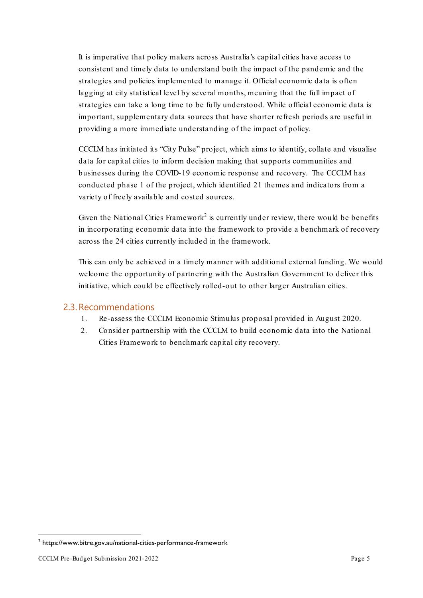It is imperative that policy makers across Australia's capital cities have access to consistent and timely data to understand both the impact of the pandemic and the strategies and policies implemented to manage it. Official economic data is often lagging at city statistical level by several months, meaning that the full impact of strategies can take a long time to be fully understood. While official economic data is important, supplementary data sources that have shorter refresh periods are useful in providing a more immediate understanding of the impact of policy.

CCCLM has initiated its "City Pulse" project, which aims to identify, collate and visualise data for capital cities to inform decision making that supports communities and businesses during the COVID-19 economic response and recovery. The CCCLM has conducted phase 1 of the project, which identified 21 themes and indicators from a variety of freely available and costed sources.

Given the National Cities Framework<sup>[2](#page-6-1)</sup> is currently under review, there would be benefits in incorporating economic data into the framework to provide a benchmark of recovery across the 24 cities currently included in the framework.

This can only be achieved in a timely manner with additional external funding. We would welcome the opportunity of partnering with the Australian Government to deliver this initiative, which could be effectively rolled-out to other larger Australian cities.

#### <span id="page-6-0"></span>2.3. Recommendations

- 1. Re-assess the CCCLM Economic Stimulus proposal provided in August 2020.
- <span id="page-6-1"></span>2. Consider partnership with the CCCLM to build economic data into the National Cities Framework to benchmark capital city recovery.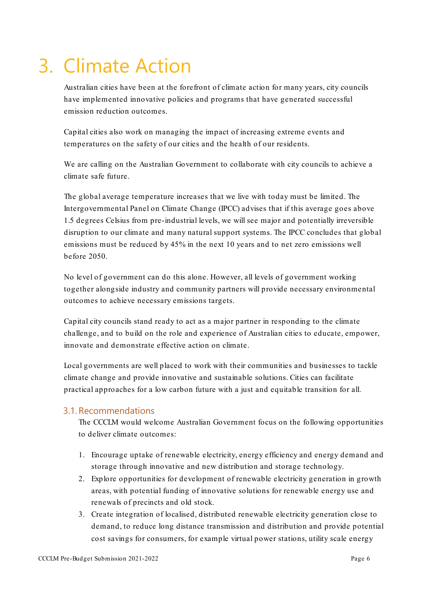# <span id="page-7-0"></span>3. Climate Action

Australian cities have been at the forefront of climate action for many years, city councils have implemented innovative policies and programs that have generated successful emission reduction outcomes.

Capital cities also work on managing the impact of increasing extreme events and temperatures on the safety of our cities and the health of our residents.

We are calling on the Australian Government to collaborate with city councils to achieve a climate safe future.

The global average temperature increases that we live with today must be limited. The Intergovernmental Panel on Climate Change (IPCC) advises that if this average goes above 1.5 degrees Celsius from pre-industrial levels, we will see major and potentially irreversible disruption to our climate and many natural support systems. The IPCC concludes that global emissions must be reduced by 45% in the next 10 years and to net zero emissions well before 2050.

No level of government can do this alone. However, all levels of government working together alongside industry and community partners will provide necessary environmental outcomes to achieve necessary emissions targets.

Capital city councils stand ready to act as a major partner in responding to the climate challenge, and to build on the role and experience of Australian cities to educate, empower, innovate and demonstrate effective action on climate.

Local governments are well placed to work with their communities and businesses to tackle climate change and provide innovative and sustainable solutions. Cities can facilitate practical approaches for a low carbon future with a just and equitable transition for all.

#### <span id="page-7-1"></span>3.1. Recommendations

The CCCLM would welcome Australian Government focus on the following opportunities to deliver climate outcomes:

- 1. Encourage uptake of renewable electricity, energy efficiency and energy demand and storage through innovative and new distribution and storage technology.
- 2. Explore opportunities for development of renewable electricity generation in growth areas, with potential funding of innovative solutions for renewable energy use and renewals of precincts and old stock.
- 3. Create integration of localised, distributed renewable electricity generation close to demand, to reduce long distance transmission and distribution and provide potential cost savings for consumers, for example virtual power stations, utility scale energy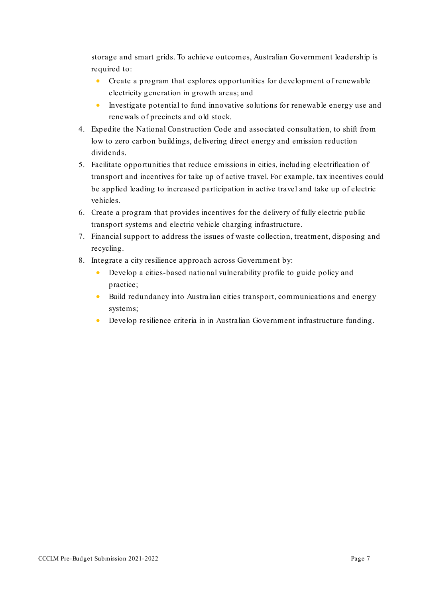storage and smart grids. To achieve outcomes, Australian Government leadership is required to:

- Create a program that explores opportunities for development of renewable electricity generation in growth areas; and
- Investigate potential to fund innovative solutions for renewable energy use and renewals of precincts and old stock.
- 4. Expedite the National Construction Code and associated consultation, to shift from low to zero carbon buildings, delivering direct energy and emission reduction dividends.
- 5. Facilitate opportunities that reduce emissions in cities, including electrification of transport and incentives for take up of active travel. For example, tax incentives could be applied leading to increased participation in active travel and take up of electric vehicles.
- 6. Create a program that provides incentives for the delivery of fully electric public transport systems and electric vehicle charging infrastructure.
- 7. Financial support to address the issues of waste collection, treatment, disposing and recycling.
- 8. Integrate a city resilience approach across Government by:
	- Develop a cities-based national vulnerability profile to guide policy and practice;
	- Build redundancy into Australian cities transport, communications and energy systems;
	- Develop resilience criteria in in Australian Government infrastructure funding.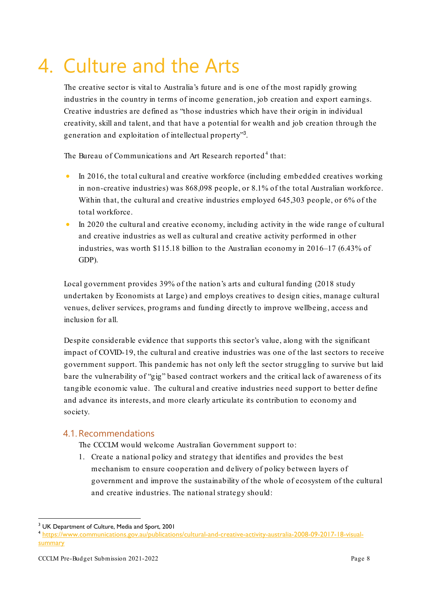## <span id="page-9-0"></span>4. Culture and the Arts

The creative sector is vital to Australia's future and is one of the most rapidly growing industries in the country in terms of income generation, job creation and export earnings. Creative industries are defined as "those industries which have their origin in individual creativity, skill and talent, and that have a potential for wealth and job creation through the generation and exploitation of intellectual property"<sup>[3](#page-9-2)</sup>.

The Bureau of Communications and Art Research reported<sup>[4](#page-9-3)</sup> that:

- In 2016, the total cultural and creative workforce (including embedded creatives working in non-creative industries) was 868,098 people, or 8.1% of the total Australian workforce. Within that, the cultural and creative industries employed 645,303 people, or 6% of the total workforce.
- In 2020 the cultural and creative economy, including activity in the wide range of cultural and creative industries as well as cultural and creative activity performed in other industries, was worth \$115.18 billion to the Australian economy in 2016–17 (6.43% of GDP).

Local government provides 39% of the nation's arts and cultural funding (2018 study undertaken by Economists at Large) and employs creatives to design cities, manage cultural venues, deliver services, programs and funding directly to improve wellbeing, access and inclusion for all.

Despite considerable evidence that supports this sector's value, along with the significant impact of COVID-19, the cultural and creative industries was one of the last sectors to receive government support. This pandemic has not only left the sector struggling to survive but laid bare the vulnerability of "gig" based contract workers and the critical lack of awareness of its tangible economic value. The cultural and creative industries need support to better define and advance its interests, and more clearly articulate its contribution to economy and society.

#### <span id="page-9-1"></span>4.1. Recommendations

The CCCLM would welcome Australian Government support to:

1. Create a national policy and strategy that identifies and provides the best mechanism to ensure cooperation and delivery of policy between layers of government and improve the sustainability of the whole of ecosystem of the cultural and creative industries. The national strategy should:

<span id="page-9-3"></span><span id="page-9-2"></span><sup>&</sup>lt;sup>3</sup> UK Department of Culture, Media and Sport, 2001<br><sup>4</sup> [https://www.communications.gov.au/publications/cultural-and-creative-activity-australia-2008-09-2017-18-visual](https://www.communications.gov.au/publications/cultural-and-creative-activity-australia-2008-09-2017-18-visual-summary)**[summary](https://www.communications.gov.au/publications/cultural-and-creative-activity-australia-2008-09-2017-18-visual-summary)**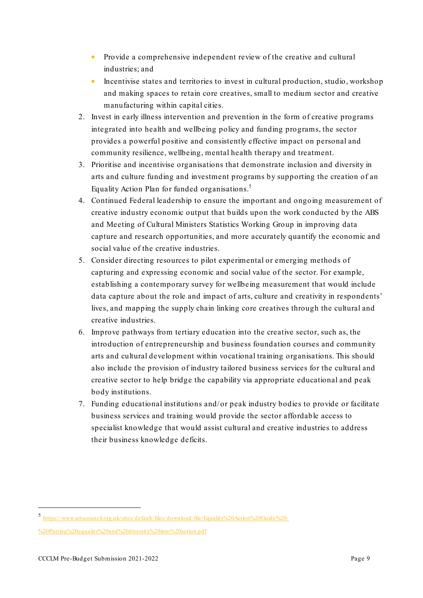- Provide a comprehensive independent review of the creative and cultural industries; and
- Incentivise states and territories to invest in cultural production, studio, workshop and making spaces to retain core creatives, small to medium sector and creative manufacturing within capital cities.
- 2. Invest in early illness intervention and prevention in the form of creative programs integrated into health and wellbeing policy and funding programs, the sector provides a powerful positive and consistently effective impact on personal and community resilience, wellbeing, mental health therapy and treatment.
- 3. Prioritise and incentivise organisations that demonstrate inclusion and diversity in arts and culture funding and investment programs by supporting the creation of an Equality Action Plan for funded organisations. [5](#page-10-0)
- 4. Continued Federal leadership to ensure the important and ongoing measurement of creative industry economic output that builds upon the work conducted by the ABS and Meeting of Cultural Ministers Statistics Working Group in improving data capture and research opportunities, and more accurately quantify the economic and social value of the creative industries.
- 5. Consider directing resources to pilot experimental or emerging methods of capturing and expressing economic and social value of the sector. For example, establishing a contemporary survey for wellbeing measurement that would include data capture about the role and impact of arts, culture and creativity in respondents' lives, and mapping the supply chain linking core creatives through the cultural and creative industries.
- 6. Improve pathways from tertiary education into the creative sector, such as, the introduction of entrepreneurship and business foundation courses and community arts and cultural development within vocational training organisations. This should also include the provision of industry tailored business services for the cultural and creative sector to help bridge the capability via appropriate educational and peak body institutions.
- 7. Funding educational institutions and/or peak industry bodies to provide or facilitate business services and training would provide the sector affordable access to specialist knowledge that would assist cultural and creative industries to address their business knowledge deficits.

<span id="page-10-0"></span><sup>5</sup> [https://www.artscouncil.org.uk/sites/default/files/download-file/Equality%20Action%20Guide%20-](https://www.artscouncil.org.uk/sites/default/files/download-file/Equality%20Action%20Guide%20-%20Putting%20equality%20and%20diversity%20into%20action.pdf)

[<sup>%20</sup>Putting%20equality%20and%20diversity%20into%20action.pdf](https://www.artscouncil.org.uk/sites/default/files/download-file/Equality%20Action%20Guide%20-%20Putting%20equality%20and%20diversity%20into%20action.pdf)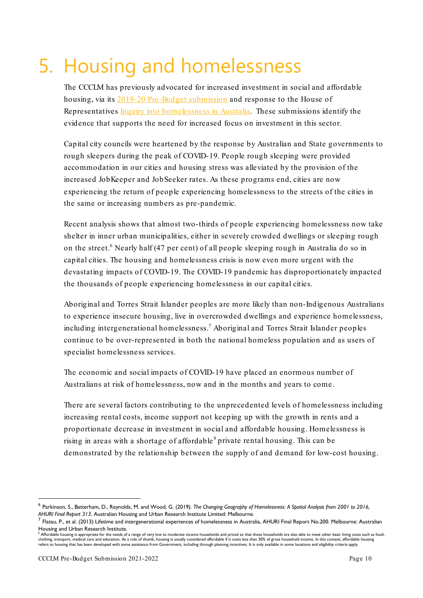### <span id="page-11-0"></span>5. Housing and homelessness

The CCCLM has previously advocated for increased investment in social and affordable housing, via its [2019-20 Pre-Budget submission](https://www.lordmayors.org/?attachment_id=1480) and response to the House of Representatives [Inquiry into homelessness in Australia.](https://www.lordmayors.org/?p=1487) These submissions identify the evidence that supports the need for increased focus on investment in this sector.

Capital city councils were heartened by the response by Australian and State governments to rough sleepers during the peak of COVID-19. People rough sleeping were provided accommodation in our cities and housing stress was alleviated by the provision of the increased JobKeeper and JobSeeker rates. As these programs end, cities are now experiencing the return of people experiencing homelessness to the streets of the cities in the same or increasing numbers as pre-pandemic.

Recent analysis shows that almost two-thirds of people experiencing homelessness now take shelter in inner urban municipalities, either in severely crowded dwellings or sleeping rough on the street.<sup>[6](#page-11-1)</sup> Nearly half (47 per cent) of all people sleeping rough in Australia do so in capital cities. The housing and homelessness crisis is now even more urgent with the devastating impacts of COVID-19. The COVID-19 pandemic has disproportionately impacted the thousands of people experiencing homelessness in our capital cities.

Aboriginal and Torres Strait Islander peoples are more likely than non-Indigenous Australians to experience insecure housing, live in overcrowded dwellings and experience homelessness, including intergenerational homelessness.<sup>[7](#page-11-2)</sup> Aboriginal and Torres Strait Islander peoples continue to be over-represented in both the national homeless population and as users of specialist homelessness services.

The economic and social impacts of COVID-19 have placed an enormous number of Australians at risk of homelessness, now and in the months and years to come.

There are several factors contributing to the unprecedented levels of homelessness including increasing rental costs, income support not keeping up with the growth in rents and a proportionate decrease in investment in social and affordable housing. Homelessness is rising in areas with a shortage of affordable<sup>[8](#page-11-3)</sup> private rental housing. This can be demonstrated by the relationship between the supply of and demand for low-cost housing.

<span id="page-11-1"></span><sup>6</sup> Parkinson, S., Batterham, D., Reynolds, M. and Wood, G. (2019). *The Changing Geography of Homelessness: A Spatial Analysis from 2001 to 2016, AHURI Final Report 313*. Australian Housing and Urban Research Institute Limited: Melbourne.

<span id="page-11-2"></span><sup>7</sup> Flatau, P., et al. (2013) Lifetime and intergenerational experiences of homelessness in Australia, AHURI Final Report No.200. Melbourne: Australian Housing and Urban Research Institute.

<span id="page-11-3"></span><sup>,&</sup>lt;br>e housing is appropriate for the needs of a range of very low to moderate income households and priced so that these households are also able to meet other basic living costs such as food, clothing, transport, medical care and education. As a rule of thumb, housing is usually considered affordable if it costs less than 30% of gross household income. In this context, affordable housing<br>refers to housing that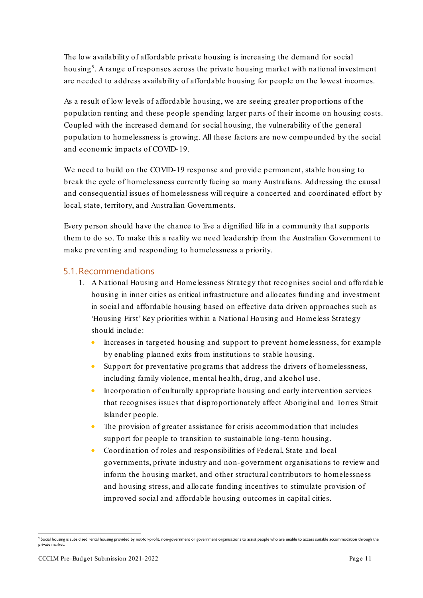The low availability of affordable private housing is increasing the demand for social housing<sup>[9](#page-12-1)</sup>. A range of responses across the private housing market with national investment are needed to address availability of affordable housing for people on the lowest incomes.

As a result of low levels of affordable housing, we are seeing greater proportions of the population renting and these people spending larger parts of their income on housing costs. Coupled with the increased demand for social housing, the vulnerability of the general population to homelessness is growing. All these factors are now compounded by the social and economic impacts of COVID-19.

We need to build on the COVID-19 response and provide permanent, stable housing to break the cycle of homelessness currently facing so many Australians. Addressing the causal and consequential issues of homelessness will require a concerted and coordinated effort by local, state, territory, and Australian Governments.

Every person should have the chance to live a dignified life in a community that supports them to do so. To make this a reality we need leadership from the Australian Government to make preventing and responding to homelessness a priority.

#### <span id="page-12-0"></span>5.1. Recommendations

- 1. A National Housing and Homelessness Strategy that recognises social and affordable housing in inner cities as critical infrastructure and allocates funding and investment in social and affordable housing based on effective data driven approaches such as 'Housing First' Key priorities within a National Housing and Homeless Strategy should include:
	- Increases in targeted housing and support to prevent homelessness, for example by enabling planned exits from institutions to stable housing.
	- Support for preventative programs that address the drivers of homelessness, including family violence, mental health, drug, and alcohol use.
	- Incorporation of culturally appropriate housing and early intervention services that recognises issues that disproportionately affect Aboriginal and Torres Strait Islander people.
	- The provision of greater assistance for crisis accommodation that includes support for people to transition to sustainable long-term housing.
	- Coordination of roles and responsibilities of Federal, State and local governments, private industry and non-government organisations to review and inform the housing market, and other structural contributors to homelessness and housing stress, and allocate funding incentives to stimulate provision of improved social and affordable housing outcomes in capital cities.

<span id="page-12-1"></span><sup>&</sup>lt;sup>9</sup> Social housing is subsidised rental housing provided by not-for-profit, non-government or government organisations to assist people who are unable to access suitable accommodation through the private market.